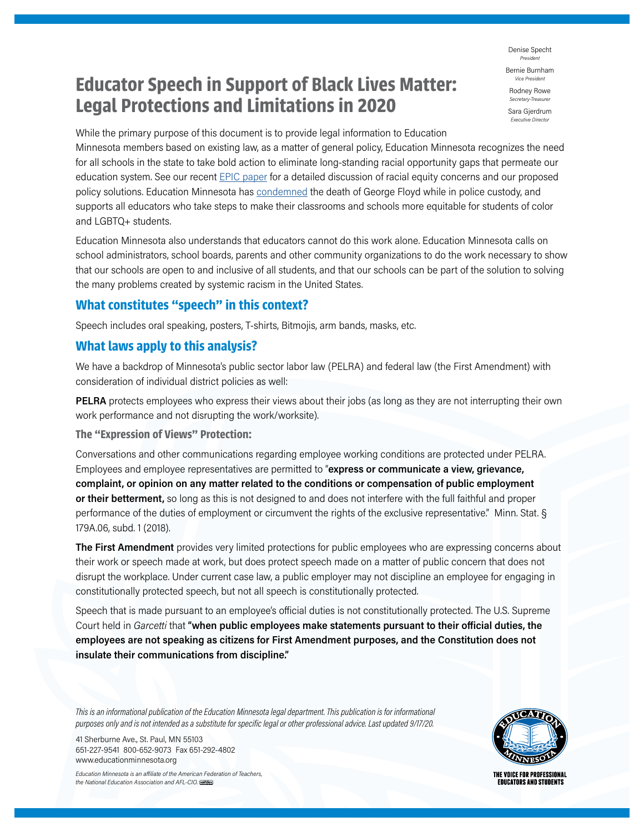**Educator Speech in Support of Black Lives Matter: Legal Protections and Limitations in 2020**

Denise Specht *President*

Bernie Burnham **Vice Presider** 

Rodney Rowe *Secretary-Treasurer*

Sara Gjerdrum *Executive Director*

While the primary purpose of this document is to provide legal information to Education

Minnesota members based on existing law, as a matter of general policy, Education Minnesota recognizes the need for all schools in the state to take bold action to eliminate long-standing racial opportunity gaps that permeate our education system. See our recent EPIC paper for a detailed discussion of racial equity concerns and our proposed policy solutions. Education Minnesota has condemned the death of George Floyd while in police custody, and supports all educators who take steps to make their classrooms and schools more equitable for students of color and LGBTQ+ students.

Education Minnesota also understands that educators cannot do this work alone. Education Minnesota calls on school administrators, school boards, parents and other community organizations to do the work necessary to show that our schools are open to and inclusive of all students, and that our schools can be part of the solution to solving the many problems created by systemic racism in the United States.

## **What constitutes "speech" in this context?**

Speech includes oral speaking, posters, T-shirts, Bitmojis, arm bands, masks, etc.

# **What laws apply to this analysis?**

We have a backdrop of Minnesota's public sector labor law (PELRA) and federal law (the First Amendment) with consideration of individual district policies as well:

**PELRA** protects employees who express their views about their jobs (as long as they are not interrupting their own work performance and not disrupting the work/worksite).

**The "Expression of Views" Protection:**

Conversations and other communications regarding employee working conditions are protected under PELRA. Employees and employee representatives are permitted to "**express or communicate a view, grievance, complaint, or opinion on any matter related to the conditions or compensation of public employment or their betterment,** so long as this is not designed to and does not interfere with the full faithful and proper performance of the duties of employment or circumvent the rights of the exclusive representative." Minn. Stat. § 179A.06, subd. 1 (2018).

**The First Amendment** provides very limited protections for public employees who are expressing concerns about their work or speech made at work, but does protect speech made on a matter of public concern that does not disrupt the workplace. Under current case law, a public employer may not discipline an employee for engaging in constitutionally protected speech, but not all speech is constitutionally protected.

Speech that is made pursuant to an employee's official duties is not constitutionally protected. The U.S. Supreme Court held in *Garcetti* that **"when public employees make statements pursuant to their official duties, the employees are not speaking as citizens for First Amendment purposes, and the Constitution does not insulate their communications from discipline."**

*This is an informational publication of the Education Minnesota legal department. This publication is for informational purposes only and is not intended as a substitute for specific legal or other professional advice. Last updated 9/17/20.*

41 Sherburne Ave., St. Paul, MN 55103 651-227-9541 800-652-9073 Fax 651-292-4802 www.educationminnesota.org

*Education Minnesota is an affiliate of the American Federation of Teachers, the National Education Association and AFL-CIO.* 



THE VOICE FOR PROFESSIONAL **EDUCATORS AND STUDENTS**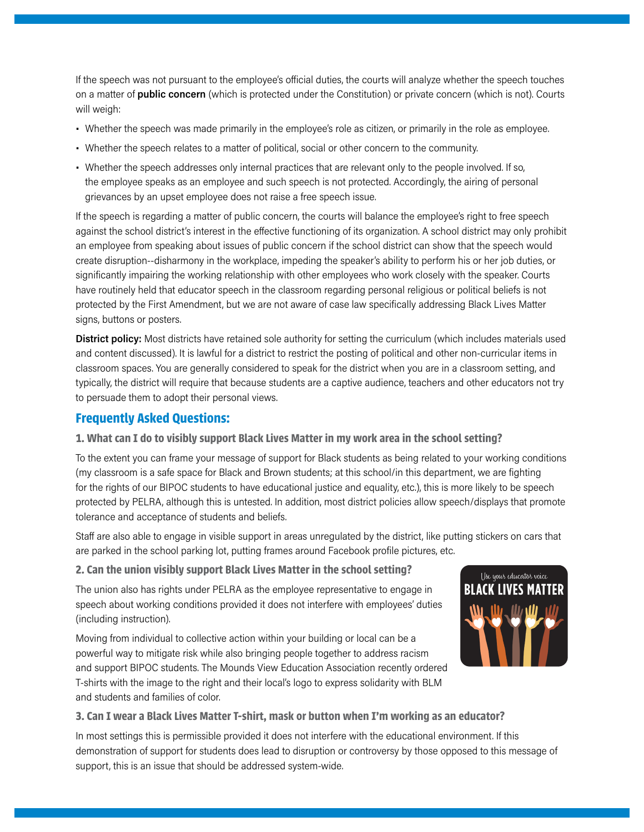If the speech was not pursuant to the employee's official duties, the courts will analyze whether the speech touches on a matter of **public concern** (which is protected under the Constitution) or private concern (which is not). Courts will weigh:

- Whether the speech was made primarily in the employee's role as citizen, or primarily in the role as employee.
- Whether the speech relates to a matter of political, social or other concern to the community.
- Whether the speech addresses only internal practices that are relevant only to the people involved. If so, the employee speaks as an employee and such speech is not protected. Accordingly, the airing of personal grievances by an upset employee does not raise a free speech issue.

If the speech is regarding a matter of public concern, the courts will balance the employee's right to free speech against the school district's interest in the effective functioning of its organization. A school district may only prohibit an employee from speaking about issues of public concern if the school district can show that the speech would create disruption--disharmony in the workplace, impeding the speaker's ability to perform his or her job duties, or significantly impairing the working relationship with other employees who work closely with the speaker. Courts have routinely held that educator speech in the classroom regarding personal religious or political beliefs is not protected by the First Amendment, but we are not aware of case law specifically addressing Black Lives Matter signs, buttons or posters.

**District policy:** Most districts have retained sole authority for setting the curriculum (which includes materials used and content discussed). It is lawful for a district to restrict the posting of political and other non-curricular items in classroom spaces. You are generally considered to speak for the district when you are in a classroom setting, and typically, the district will require that because students are a captive audience, teachers and other educators not try to persuade them to adopt their personal views.

## **Frequently Asked Questions:**

#### **1. What can I do to visibly support Black Lives Matter in my work area in the school setting?**

To the extent you can frame your message of support for Black students as being related to your working conditions (my classroom is a safe space for Black and Brown students; at this school/in this department, we are fighting for the rights of our BIPOC students to have educational justice and equality, etc.), this is more likely to be speech protected by PELRA, although this is untested. In addition, most district policies allow speech/displays that promote tolerance and acceptance of students and beliefs.

Staff are also able to engage in visible support in areas unregulated by the district, like putting stickers on cars that are parked in the school parking lot, putting frames around Facebook profile pictures, etc.

#### **2. Can the union visibly support Black Lives Matter in the school setting?**

The union also has rights under PELRA as the employee representative to engage in speech about working conditions provided it does not interfere with employees' duties (including instruction).

Moving from individual to collective action within your building or local can be a powerful way to mitigate risk while also bringing people together to address racism and support BIPOC students. The Mounds View Education Association recently ordered T-shirts with the image to the right and their local's logo to express solidarity with BLM and students and families of color.



#### **3. Can I wear a Black Lives Matter T-shirt, mask or button when I'm working as an educator?**

In most settings this is permissible provided it does not interfere with the educational environment. If this demonstration of support for students does lead to disruption or controversy by those opposed to this message of support, this is an issue that should be addressed system-wide.